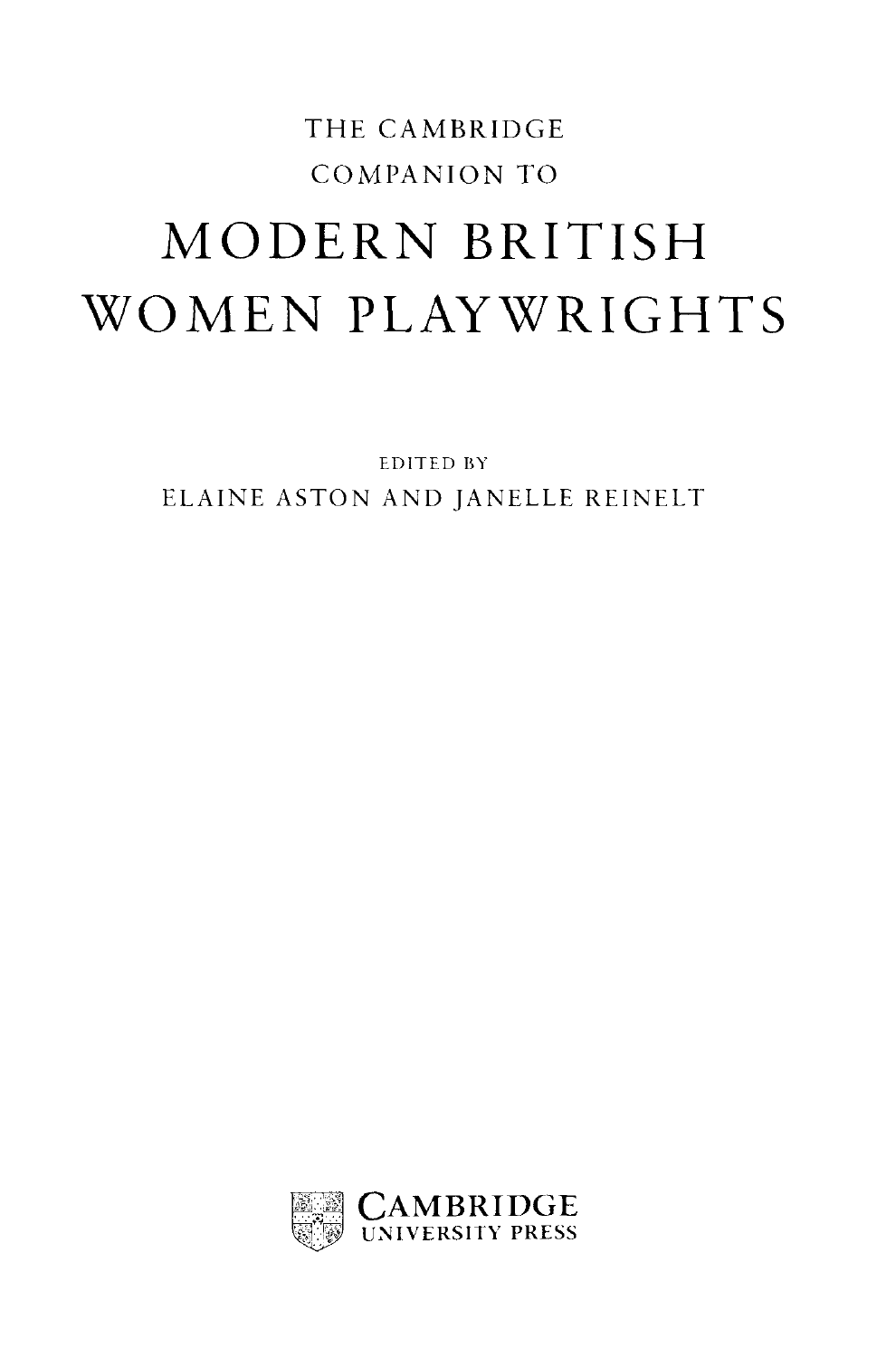## THE CAMBRIDGE COMPANION TO MODERN BRITISH WOMEN PLAYWRIGHTS

EDITED BY ELAINE ASTON AND JANELLE REINELT

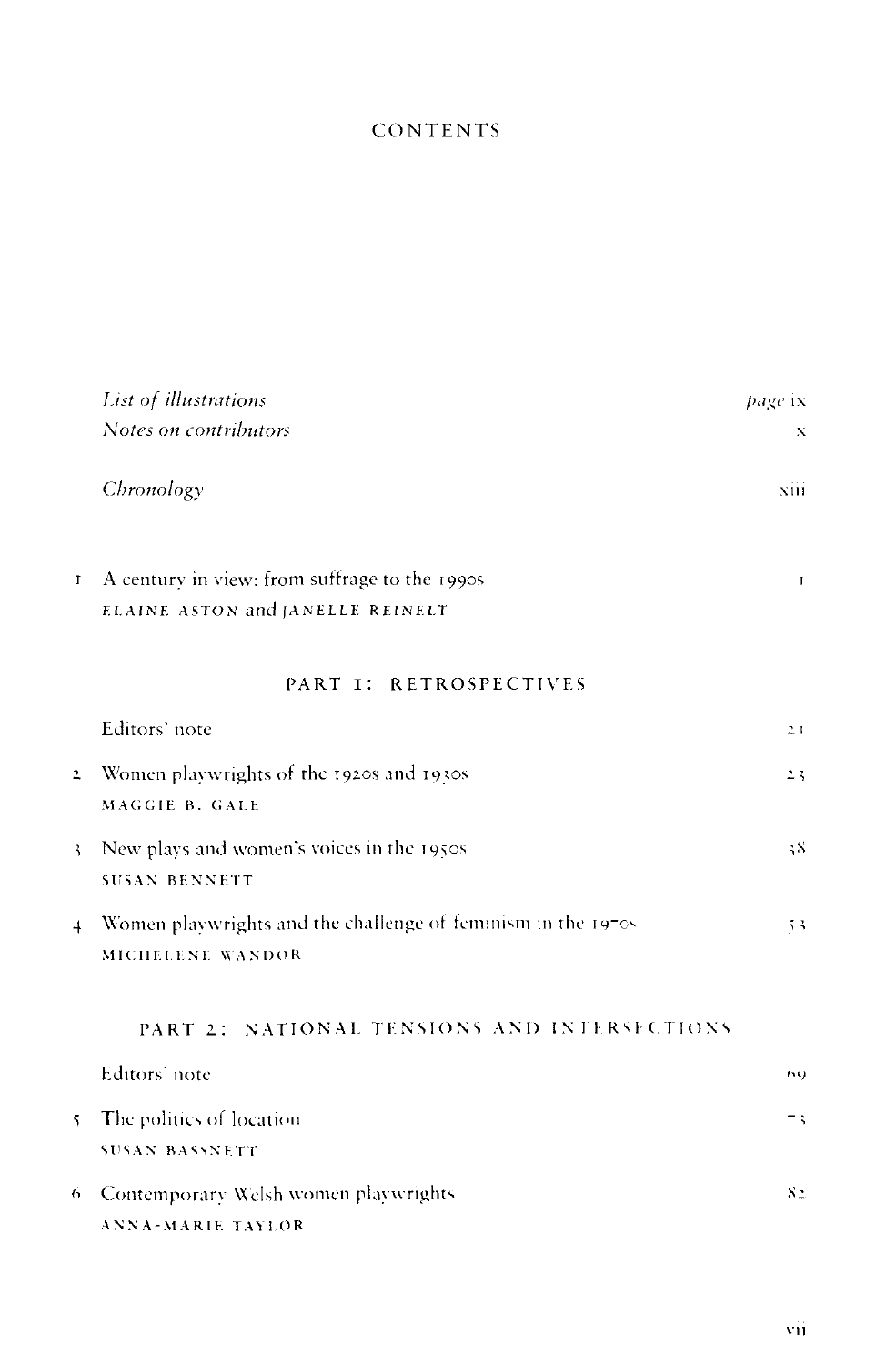## **CONTENTS**

|                | <b>List of illustrations</b>                                                      | page ix      |
|----------------|-----------------------------------------------------------------------------------|--------------|
|                | Notes on contributors                                                             | X            |
|                | Chronology                                                                        | xiii         |
| $\mathbf{I}$   | A century in view: from suffrage to the 1990s<br>ELAINE ASTON and JANELLE REINELT | $\mathbf{I}$ |
|                | PART I: RETROSPECTIVES                                                            |              |
|                | Editors' note                                                                     | 21           |
| $\overline{a}$ | Women playwrights of the 1920s and 1930s<br>MAGGIE B. GALE                        | 23           |
| $\mathbf{z}$   | New plays and women's voices in the 1950s<br><b>SUSAN BENNETT</b>                 | 58           |
| $\overline{4}$ | Women playwrights and the challenge of feminism in the 1970s<br>MICHELENE WANDOR  | 53           |
|                | PART 2: NATIONAL TENSIONS AND INTERSECTIONS                                       |              |
|                | Editors' note                                                                     | (54)         |
| $5^{\circ}$    | The politics of location<br><b>SUSAN BASSNETT</b>                                 | Ξţ           |
| 6              | Contemporary Welsh women playwrights<br><b>ANNA-MARIE TAYLOR</b>                  | 82           |